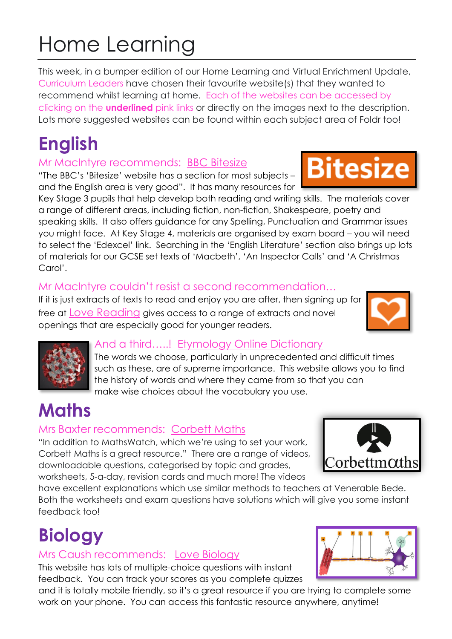# Home Learning

This week, in a bumper edition of our Home Learning and Virtual Enrichment Update, Curriculum Leaders have chosen their favourite website(s) that they wanted to recommend whilst learning at home. Each of the websites can be accessed by clicking on the **underlined** pink links or directly on the images next to the description. Lots more suggested websites can be found within each subject area of Foldr too!

# **English**

### Mr MacIntyre recommends: [BBC Bitesize](https://www.bbc.co.uk/bitesize/subjects/zt3rkqt)

"The BBC's 'Bitesize' website has a section for most subjects – and the English area is very good". It has many resources for

Key Stage 3 pupils that help develop both reading and writing skills. The materials cover a range of different areas, including fiction, non-fiction, Shakespeare, poetry and speaking skills. It also offers guidance for any Spelling, Punctuation and Grammar issues you might face. At Key Stage 4, materials are organised by exam board – you will need to select the 'Edexcel' link. Searching in the 'English Literature' section also brings up lots of materials for our GCSE set texts of 'Macbeth', 'An Inspector Calls' and 'A Christmas Carol'.

### Mr MacIntyre couldn't resist a second recommendation…

If it is just extracts of texts to read and enjoy you are after, then signing up for free at [Love Reading](http://www.lovereading4kids.co.uk/) gives access to a range of extracts and novel openings that are especially good for younger readers.



**Bitesize** 



#### [A](https://www.etymonline.com/)nd a third…..! [Etymology Online Dictionary](https://www.etymonline.com/)

The words we choose, particularly in unprecedented and difficult times such as these, are of supreme importance. This website allows you to find the history of words and where they came from so that you can make wise choices about the vocabulary you use.

# **Maths**

### Mrs Baxter recommends: [Corbett Maths](https://corbettmaths.com/)

"In addition to MathsWatch, which we're using to set your work, Corbett Maths is a great resource." There are a range of videos, downloadable questions, categorised by topic and grades, worksheets, 5-a-day, revision cards and much more! The videos



have excellent explanations which use similar methods to teachers at Venerable Bede. Both the worksheets and exam questions have solutions which will give you some instant feedback too!

# **Biology**

### Mrs Caush recommends: [Love Biology](http://www.lovebiology.co.uk/)

This website has lots of multiple-choice questions with instant feedback. You can track your scores as you complete quizzes

and it is totally mobile friendly, so it's a great resource if you are trying to complete some work on your phone. You can access this fantastic resource anywhere, anytime!

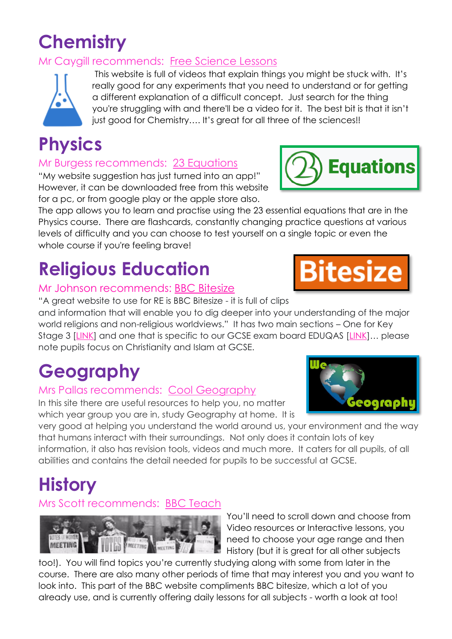### **Chemistry**

#### Mr Caygill recommends: [Free Science Lessons](https://www.freesciencelessons.co.uk/)



This website is full of videos that explain things you might be stuck with. It's really good for any experiments that you need to understand or for getting a different explanation of a difficult concept. Just search for the thing you're struggling with and there'll be a video for it. The best bit is that it isn't just good for Chemistry.... It's great for all three of the sciences!!

### **Physics**

#### Mr Burgess recommends: 23 [Equations](https://23equations.com/index.html)

"My website suggestion has just turned into an app!" However, it can be downloaded free from this website for a pc, or from google play or the apple store also.

The app allows you to learn and practise using the 23 essential equations that are in the Physics course. There are flashcards, constantly changing practice questions at various levels of difficulty and you can choose to test yourself on a single topic or even the whole course if you're feeling brave!

## **Religious Education**

#### Mr Johnson recommends: [BBC Bitesize](https://www.bbc.co.uk/bitesize/subjects/zmyb4wx)

"A great website to use for RE is BBC Bitesize - it is full of clips and information that will enable you to dig deeper into your understanding of the major world religions and non-religious worldviews." It has two main sections – One for Key Stage 3 [\[LINK\]](https://www.bbc.co.uk/bitesize/subjects/zh3rkqt) and one that is specific to our GCSE exam board EDUQAS [\[LINK](https://www.bbc.co.uk/bitesize/examspecs/z68sjhv)]… please note pupils focus on Christianity and Islam at GCSE.

# **Geography**

#### Mrs Pallas recommends: Cool [Geography](http://www.coolgeography.co.uk/)

In this site there are useful resources to help you, no matter which year group you are in, study Geography at home. It is

very good at helping you understand the world around us, your environment and the way that humans interact with their surroundings. Not only does it contain lots of key information, it also has revision tools, videos and much more. It caters for all pupils, of all abilities and contains the detail needed for pupils to be successful at GCSE.

### **History**

#### Mrs Scott recommends: BBC [Teach](http://www.bbc.co.uk/teach)



You'll need to scroll down and choose from Video resources or Interactive lessons, you need to choose your age range and then History (but it is great for all other subjects

too!). You will find topics you're currently studying along with some from later in the course. There are also many other periods of time that may interest you and you want to look into. This part of the BBC website compliments BBC bitesize, which a lot of you already use, and is currently offering daily lessons for all subjects - worth a look at too!





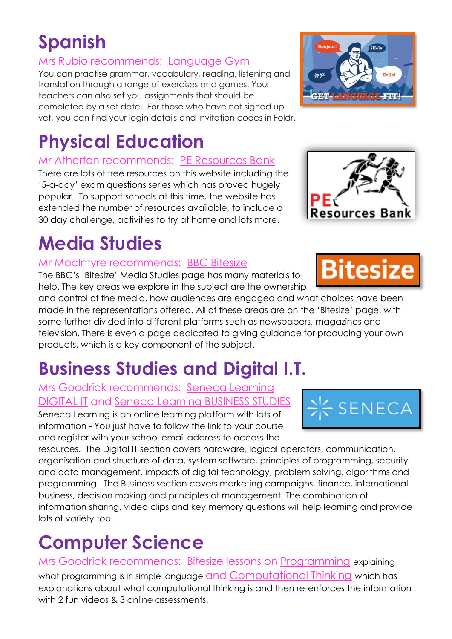### **Spanish**

#### Mrs Rubio recommends: [Language Gym](http://www.language-gym.com/)

You can practise grammar, vocabulary, reading, listening and translation through a range of exercises and games. Your teachers can also set you assignments that should be completed by a set date. For those who have not signed up yet, you can find your login details and invitation codes in Foldr.

### **Physical Education**

#### Mr Atherton recommends: [PE Resources Bank](https://www.peresourcesbank.co.uk/free-resources/)

There are lots of free resources on this website including the '5-a-day' exam questions series which has proved hugely popular. To support schools at this time, the website has extended the number of resources available, to include a 30 day challenge, activities to try at home and lots more.

### **Media Studies**

#### Mr MacIntyre recommends: [BBC Bitesize](https://www.bbc.co.uk/bitesize/subjects/ztnygk7)

The BBC's 'Bitesize' Media Studies page has many materials to help. The key areas we explore in the subject are the ownership

and control of the media, how audiences are engaged and what choices have been made in the representations offered. All of these areas are on the 'Bitesize' page, with some further divided into different platforms such as newspapers, magazines and television. There is even a page dedicated to giving guidance for producing your own products, which is a key component of the subject.

### **Business Studies and Digital I.T.**

#### Mrs Goodrick recommends: [Seneca Learning](https://app.senecalearning.com/classroom/course/09fbc559-48c1-4d29-bc59-d1add275efac)  [DIGITAL IT](https://app.senecalearning.com/classroom/course/09fbc559-48c1-4d29-bc59-d1add275efac) and [Seneca Learning BUSINESS STUDIES](https://app.senecalearning.com/classroom/course/f0389213-3369-45a4-8126-07b001bb9007)

Seneca Learning is an online learning platform with lots of information - You just have to follow the link to your course and register with your school email address to access the

resources. The Digital IT section covers hardware, logical operators, communication, organisation and structure of data, system software, principles of programming, security and data management, impacts of digital technology, problem solving, algorithms and programming. The Business section covers marketing campaigns, finance, international business, decision making and principles of management. The combination of information sharing, video clips and key memory questions will help learning and provide lots of variety too!

### **Computer Science**

Mrs Goodrick recommends: Bitesize lessons on [Programming](https://www.bbc.co.uk/bitesize/articles/zm4ny9q) explaining what programming is in simple language and [Computational Thinking](https://www.bbc.co.uk/bitesize/articles/z7798xs) which has explanations about what computational thinking is and then re-enforces the information with 2 fun videos & 3 online assessments.